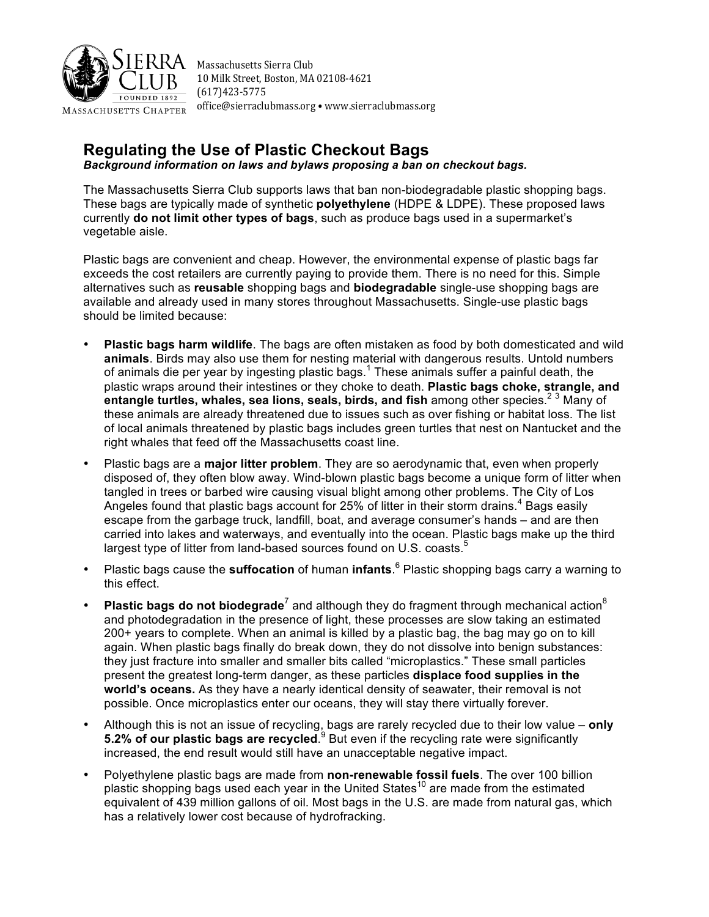

Massachusetts Sierra Club 10 Milk Street, Boston, MA 02108-4621 (617)423-5775 office@sierraclubmass.org • www.sierraclubmass.org

# **Regulating the Use of Plastic Checkout Bags**

*Background information on laws and bylaws proposing a ban on checkout bags.*

The Massachusetts Sierra Club supports laws that ban non-biodegradable plastic shopping bags. These bags are typically made of synthetic **polyethylene** (HDPE & LDPE). These proposed laws currently **do not limit other types of bags**, such as produce bags used in a supermarket's vegetable aisle.

Plastic bags are convenient and cheap. However, the environmental expense of plastic bags far exceeds the cost retailers are currently paying to provide them. There is no need for this. Simple alternatives such as **reusable** shopping bags and **biodegradable** single-use shopping bags are available and already used in many stores throughout Massachusetts. Single-use plastic bags should be limited because:

- **Plastic bags harm wildlife**. The bags are often mistaken as food by both domesticated and wild **animals**. Birds may also use them for nesting material with dangerous results. Untold numbers of animals die per year by ingesting plastic bags.<sup>1</sup> These animals suffer a painful death, the plastic wraps around their intestines or they choke to death. **Plastic bags choke, strangle, and entangle turtles, whales, sea lions, seals, birds, and fish** among other species. <sup>2</sup> <sup>3</sup> Many of these animals are already threatened due to issues such as over fishing or habitat loss. The list of local animals threatened by plastic bags includes green turtles that nest on Nantucket and the right whales that feed off the Massachusetts coast line.
- Plastic bags are a **major litter problem**. They are so aerodynamic that, even when properly disposed of, they often blow away. Wind-blown plastic bags become a unique form of litter when tangled in trees or barbed wire causing visual blight among other problems. The City of Los Angeles found that plastic bags account for 25% of litter in their storm drains.<sup>4</sup> Bags easily escape from the garbage truck, landfill, boat, and average consumer's hands – and are then carried into lakes and waterways, and eventually into the ocean. Plastic bags make up the third largest type of litter from land-based sources found on U.S. coasts. $5$
- Plastic bags cause the **suffocation** of human **infants**.<sup>6</sup> Plastic shopping bags carry a warning to this effect.
- **Plastic bags do not biodegrade**<sup>7</sup> and although they do fragment through mechanical action<sup>8</sup> and photodegradation in the presence of light, these processes are slow taking an estimated 200+ years to complete. When an animal is killed by a plastic bag, the bag may go on to kill again. When plastic bags finally do break down, they do not dissolve into benign substances: they just fracture into smaller and smaller bits called "microplastics." These small particles present the greatest long-term danger, as these particles **displace food supplies in the world's oceans.** As they have a nearly identical density of seawater, their removal is not possible. Once microplastics enter our oceans, they will stay there virtually forever.
- Although this is not an issue of recycling, bags are rarely recycled due to their low value **only 5.2% of our plastic bags are recycled.** <sup>9</sup> But even if the recycling rate were significantly increased, the end result would still have an unacceptable negative impact.
- Polyethylene plastic bags are made from **non-renewable fossil fuels**. The over 100 billion plastic shopping bags used each year in the United States<sup>10</sup> are made from the estimated equivalent of 439 million gallons of oil. Most bags in the U.S. are made from natural gas, which has a relatively lower cost because of hydrofracking.